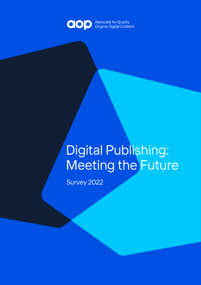

# Digital Publishing: Meeting the Future

Survey 2022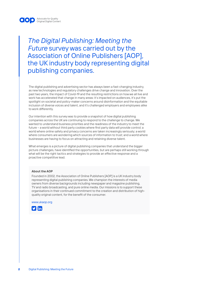

*The Digital Publishing: Meeting the Future* survey was carried out by the Association of Online Publishers [AOP], the UK industry body representing digital publishing companies.

The digital publishing and advertising sector has always been a fast-changing industry, as new technologies and regulatory challenges drive change and innovation. Over the past two years, the impact of Covid-19 and the resulting restrictions on how we all live and work has accelerated that change in many areas: it's impacted on audiences, it's put the spotlight on societal and policy-maker concerns around disinformation and the equitable inclusion of diverse voices and talent, and it's challenged employers and employees alike to work differently.

Our intention with this survey was to provide a snapshot of how digital publishing companies across the UK are continuing to respond to the challenge to change. We wanted to understand business priorities and the readiness of the industry to meet the future – a world without third party cookies where first party data will provide control; a world where online safety and privacy concerns are taken increasingly seriously; a world where consumers are wondering which sources of information to trust; and a world where businesses are having to focus on attracting and retaining diverse talent.

What emerges is a picture of digital publishing companies that understand the bigger picture challenges, have identified the opportunities, but are perhaps still working through what will be the right tactics and strategies to provide an effective response and a proactive competitive lead.

#### **About the AOP**

Founded in 2002, the Association of Online Publishers [AOP] is a UK industry body representing digital publishing companies. We champion the interests of media owners from diverse backgrounds including newspaper and magazine publishing, TV and radio broadcasting, and pure online media. Our missions is to support these organisations in their continued commitment to the creation and distribution of highquality original content, for the benefit of the consumer.

www.ukaop.org

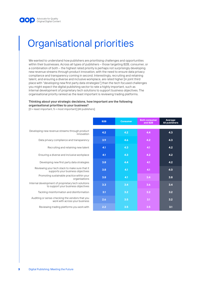

## Organisational priorities

We wanted to understand how publishers are prioritising challenges and opportunities within their businesses. Across all types of publishers – those targeting B2B, consumer, or a combination of both – the highest rated priority is perhaps not surprisingly developing new revenue streams through product innovation, with the need to ensure data privacy compliance and transparency coming in second. Interestingly, recruiting and retaining talent, and ensuring a diverse and inclusive workplace, are rated higher [in joint third place with "developing new first party data strategies"] than the tech focused challenges you might expect the digital publishing sector to rate a highly important, such as internal development of proprietary tech solutions to support business objectives. The organisational priority ranked as the least important is reviewing trading platforms.

### **Thinking about your strategic decisions, how important are the following**

**organisational priorities to your business?**

[0 = least important, 5 = most important] [All publishers]

|                                                                                           | B <sub>2</sub> B | <b>Consumer</b> | <b>Both consumer</b><br>and B2B | Average:<br><b>All publishers</b> |
|-------------------------------------------------------------------------------------------|------------------|-----------------|---------------------------------|-----------------------------------|
|                                                                                           |                  |                 |                                 |                                   |
| Developing new revenue streams through product<br>innovation                              | 4.2              | 4.2             | 4.4                             | 4.3                               |
| Data privacy compliance and transparency                                                  | 3.9              | 4.6             | 4.2                             | 4.3                               |
| Recruiting and retaining new talent                                                       | 4.1              | 4.3             | 4.1                             | 4.2                               |
| Ensuring a diverse and inclusive workplace                                                | 4.1              | 4.3             | 4.2                             | 4.2                               |
| Developing new first party data strategies                                                | 3.8              | 4.4             | 4.1                             | 4.2                               |
| Reviewing your tech stack to make sure that it<br>supports your business objectives       | 3.8              | 4.1             | 4.1                             | 4.0                               |
| Promoting sustainable practice within your<br>organisations                               | 3.8              | 4.1             | 3.4                             | 3.8                               |
| Internal development of proprietary tech solutions<br>to support your business objectives | 3.3              | 3.4             | 3.6                             | 3.4                               |
| Tackling misinformation and disinformation                                                | 3.1              | 3.2             | 3.2                             | 3.2                               |
| Auditing or sense-checking the vendors that you<br>work with across your business         | 2.6              | 3.5             | 3.1                             | 3.2                               |
| Reviewing trading platforms you work with                                                 | 2.2              | 3.5             | 3.5                             | 3.1                               |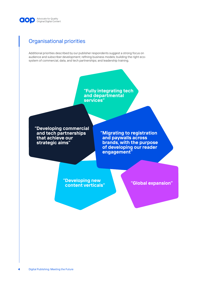

### Organisational priorities

Additional priorities described by our publisher respondents suggest a strong focus on audience and subscriber development; refining business models; building the right ecosystem of commercial, data, and tech partnerships; and leadership training.

> **"Fully integrating tech and departmental services"**

**"Developing commercial and tech partnerships that achieve our strategic aims"**

**"Migrating to registration and paywalls across brands, with the purpose of developing our reader engagement"**

**"Developing new content verticals"**

**"Global expansion"**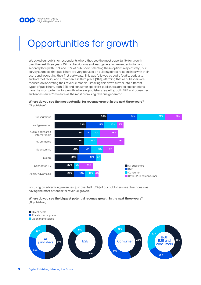

## Opportunities for growth

We asked our publisher respondents where they see the most opportunity for growth over the next three years. With subscriptions and lead generation revenues in first and second place [with 55% and 33% of publishers selecting these options respectively], our survey suggests that publishers are very focused on building direct relationships with their users and leveraging their first party data. This was followed by audio [audio, podcasts, and internet radio] and eCommerce in third place [31%], affirming that all publishers are focused on innovating their revenue models. Breaking this down further into different types of publishers, both B2B and consumer specialist publishers agreed subscriptions have the most potential for growth, whereas publishers targeting both B2B and consumer audiences saw eCommerce as the most promising revenue generator.

**Where do you see the most potential for revenue growth in the next three years?** [All publishers]



Focusing on advertising revenues, just over half [51%] of our publishers see direct deals as having the most potential for revenue growth.



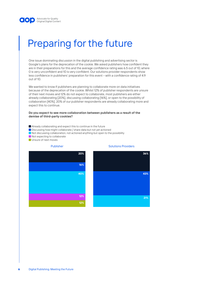

### Preparing for the future

One issue dominating discussion in the digital publishing and advertising sector is Google's plans for the deprecation of the cookie. We asked publishers how confident they are in their preparations for this and the average confidence rating was 6.5 out of 10, where 0 is very unconfident and 10 is very confident. Our solutions provider respondents show less confidence in publishers' preparation for this event – with a confidence rating of 4.9 out of 10.

We wanted to know if publishers are planning to collaborate more on data initiatives because of the deprecation of the cookie. Whilst 12% of publisher respondents are unsure of their next moves and 12% do not expect to collaborate, most publishers are either already collaborating [20%], discussing collaborating [16%], or open to the possibility of collaboration [40%]. 20% of our publisher respondents are already collaborating more and expect this to continue.

#### **Do you expect to see more collaboration between publishers as a result of the demise of third-party cookies?**

- Already collaborating and expect this to continue in the future
- Discussing how might collaborate / share data but not yet actioned
- Not discussing collaboration, not actioned anything but open to the possibility
- Not expecting to collaborate
- **Unsure of next moves**





**36%**

**43%**

**21%**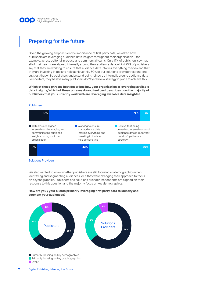

### Preparing for the future

Given the growing emphasis on the importance of first party data, we asked how publishers are leveraging audience data insights throughout their organisation – for example, across editorial, product, and commercial teams. Only 17% of publishers say that all of their teams are aligned internally around their audience data, whilst 75% of publishers say that they are working to ensure that audience data informs everything they do and that they are investing in tools to help achieve this. 50% of our solutions provider respondents suggest that while publishers understand being joined up internally around audience data is important, they believe many publishers don't yet have a strategy in place to achieve this.

**Which of these phrases best describes how your organisation is leveraging available data insights/Which of these phrases do you feel best describes how the majority of publishers that you currently work with are leveraging available data insights?**

#### **Publishers**



#### Solutions Providers

We also wanted to know whether publishers are still focusing on demographics when identifying and segmenting audiences, or if they were changing their approach to focus on psychographics. Publishers and solutions provider respondents are aligned on their response to this question and the majority focus on key demographics.



#### **How are you / your clients primarily leveraging first party data to identify and segment your audiences?**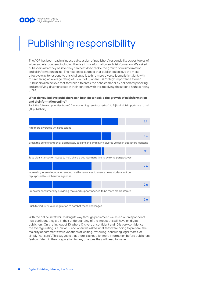

## Publishing responsibility

The AOP has been leading industry discussion of publishers' responsibility across topics of wider societal concern, including the rise in misinformation and disinformation. We asked publishers what they believe they can best do to tackle the growth of misinformation and disinformation online. The responses suggest that publishers believe the most effective way to respond to this challenge is to hire more diverse journalistic talent, with this receiving an average rating of 3.7 out of 5, where 5 is "of high importance to me". Publishers also believe that they need to break the echo chamber by deliberately seeking and amplifying diverse voices in their content, with this receiving the second highest rating of 3.4.

#### **What do you believe publishers can best do to tackle the growth of misinformation and disinformation online?**

Rank the following priorities from 0 [not something I am focused on] to 5 [is of high importance to me] [All publishers]



Push for industry-wide regulation to combat these challenges

With the online safety bill making its way through parliament, we asked our respondents how confident they are in their understanding of the impact this will have on digital publishers. On a rating out of 10, where 0 is very unconfident and 10 is very confidence, the average rating is a low 4.5 – and when we asked what they were doing to prepare, the majority of comments were variations of waiting, reviewing, consulting legal teams, or simply "not sure". This suggests that there is a need for more information before publishers feel confident in their preparation for any changes they will need to make.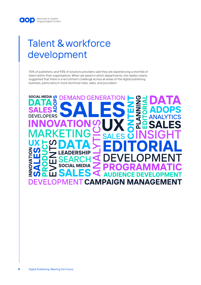### Talent & workforce development

70% of publishers, and 93% of solutions providers said they are experiencing a shortfall of talent within their organisations. When we asked in which departments, the replies clearly suggested that there is a recruitment challenge across all areas of the digital publishing business, particularly in more technical roles, sales, and journalism.

## **SOCIAL MEDIA () DEMAND GENERATI**  $\overline{\mathbb{C}}$ **PFRS** Λ S **CAMPAIGN MANAGER**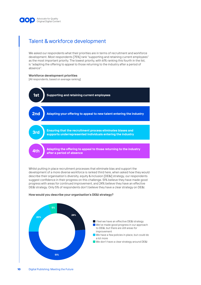

### Talent & workforce development

We asked our respondents what their priorities are in terms of recruitment and workforce development. Most respondents [75%] rank "supporting and retaining current employees" as the most important priority. The lowest priority, with 61% ranking this fourth in the list, is "adapting the offering to appeal to those returning to the industry after a period of absence".

### **Workforce development priorities**

[All respondents, based on average ranking]



Whilst putting in place recruitment processes that eliminate bias and support the development of a more diverse workforce is ranked third here, when asked how they would describe their organisation's diversity, equity & inclusion [DE&I] strategy, our respondents suggest confidence in their progress on this challenge. 51% believe they have made good progress with areas for continued improvement, and 24% believe they have an effective DE&I strategy. Only 5% of respondents don't believe they have a clear strategy on DE&I.



#### **How would you describe your organisation's DE&I strategy?**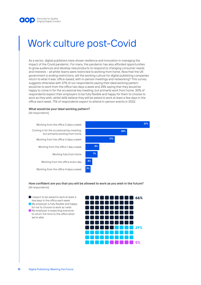

### Work culture post-Covid

As a sector, digital publishers have shown resilience and innovation in managing the impact of the Covid pandemic. For many, the pandemic has also afforded opportunities to grow audiences and develop new products to respond to changing consumer needs and interests – all whilst teams were restricted to working from home. Now that the UK government is ending restrictions, will the working culture for digital publishing companies return to what it was: office-based, with in-person meetings and networking? This survey suggests otherwise with 37% of our respondents saying their ideal working pattern would be to work from the office two days a week and 24% saying that they would be happy to come in for the occasional key meeting, but primarily work from home. 30% of respondents expect their employers to be fully flexible and happy for them to choose to work as they wish, whilst 66% believe they will be asked to work at least a few days in the office each week. 71% of respondents expect to attend in-person events in 2022.

#### **What would be your ideal working pattern?**

[All respondents]



### **How confident are you that you will be allowed to work as you wish in the future?** [All respondents]

- I expect to be asked to work at least a few days in the office each week
- **My employer is fully flexible and happy** for me to choose to work as I wish
- **My employer is expecting everyone** to return full-time to the office when we're able

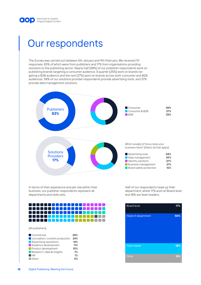

### Our respondents

The Survey was carried out between 5th January and 9th February. We received 111 responses, 83% of which were from publishers and 17% from organisations providing solutions to the publishing sector. Nearly half [48%] of our publisher respondents work on publishing brands targeting a consumer audience. A quarter [25%] work on brands targeting a B2B audience and the rest [27%] work on brands across both consumer and B2B audiences. 58% of our solutions provider respondents provide advertising tools, and 37% provide data management solutions.



In terms of their experience and job role within their business, our publisher respondents represent all departments and skills sets.



[All publishers]

| Commercial                             | 28% |
|----------------------------------------|-----|
| <b>Journalism / content production</b> | 24% |
| Advertising operations                 | 14% |
| Audience development                   | 11% |
| Product development                    | 10% |
| Research / data & insights             | 7%  |
| HR                                     | 1%  |
| Other                                  | 5%  |
|                                        |     |

Half of our respondents head up their department, whilst 17% work at Board level and 18% are team leaders.